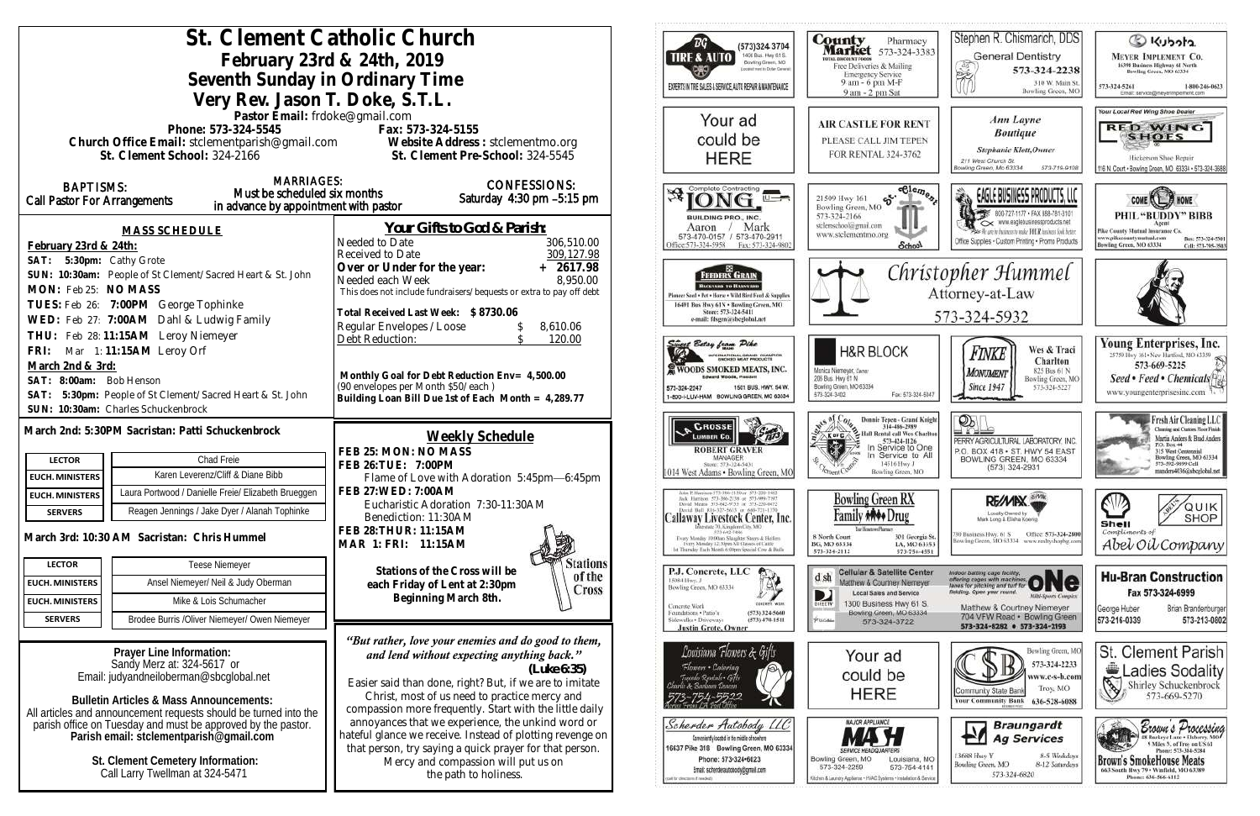| St. Clement Catholic Church                                                                                      |                                                                                                                | ΈG<br>(573)324 3704                                                                                                    | County<br>Pharmac                                                            |
|------------------------------------------------------------------------------------------------------------------|----------------------------------------------------------------------------------------------------------------|------------------------------------------------------------------------------------------------------------------------|------------------------------------------------------------------------------|
| February 23rd & 24th, 2019                                                                                       |                                                                                                                | 1400 Busi. Hwy 61 S.<br><b>TIRE &amp; AUTO</b><br>Bowling Green, MO                                                    | <b>Market</b> 573-324-3<br>FOTAL DISCOUNT FOODS<br>Free Deliveries & Mailing |
| Seventh Sunday in Ordinary Time                                                                                  |                                                                                                                | Locatist meet to Dollar Germral)                                                                                       | <b>Emergency Service</b><br>9 am - 6 pm M-F                                  |
| Very Rev. Jason T. Doke, S.T.L.                                                                                  |                                                                                                                | EXPERTS IN THE SALES & SERVICE, AUTO REPAIR & MAINTENANCE                                                              | 9 am - 2 pm Sat                                                              |
| Pastor Email: frdoke@gmail.com                                                                                   |                                                                                                                | Your ad                                                                                                                |                                                                              |
| Phone: 573-324-5545                                                                                              | Fax: 573-324-5155                                                                                              |                                                                                                                        | <b>AIR CASTLE FOR REN</b>                                                    |
| Church Office Email: stclementparish@gmail.com Website Address : stclementmo.org<br>St. Clement School: 324-2166 | St. Clement Pre-School: 324-5545                                                                               | could be                                                                                                               | PLEASE CALL JIM TEPE<br>FOR RENTAL 324-3762                                  |
|                                                                                                                  |                                                                                                                | <b>HERE</b>                                                                                                            |                                                                              |
| <b>MARRIAGES:</b><br><b>BAPTISMS:</b><br>Must be scheduled six months                                            | <b>CONFESSIONS:</b>                                                                                            | Complete Contracting                                                                                                   | $-$ Clen                                                                     |
| Call Pastor For Arrangements<br>in advance by appointment with pastor                                            | Saturday 4:30 pm -5:15 pm                                                                                      |                                                                                                                        | S.<br>21509 Hwy 161<br>Bowling Green, MO                                     |
|                                                                                                                  | <u>Your Gifts to God &amp; Parish:</u>                                                                         | BUILDING PRO., INC.<br>Mark<br>Aaron                                                                                   | 573-324-2166<br>stelenschool@gmail.com                                       |
| <b>MASS SCHEDULE</b><br>February 23rd & 24th:                                                                    | Needed to Date<br>306,510.00                                                                                   | 573-470-0157 / 573-470-2911<br>Office: 573-324-5958<br>Fax: 573-324-9802                                               | www.stclementmo.org<br><b>School</b>                                         |
| SAT: 5:30pm: Cathy Grote                                                                                         | 309,127.98<br>Received to Date                                                                                 |                                                                                                                        |                                                                              |
| SUN: 10:30am: People of St Clement/Sacred Heart & St. John                                                       | $+ 2617.98$<br>Over or Under for the year:<br>8,950.00<br>Needed each Week                                     | <b>FEEDERS GRAIN</b>                                                                                                   | Chri                                                                         |
| MON: Feb 25: NO MASS                                                                                             | This does not include fundraisers/bequests or extra to pay off debt                                            | Выходит то Влагелии<br>Pioneer Seed . Pet . Horse . Wild Bird Feed & Supplies                                          |                                                                              |
| TUES: Feb 26: 7:00PM George Tophinke                                                                             | Total Received Last Week: \$8730.06                                                                            | 16491 Bus Hwy 61N . Bowling Green, MO<br>Store: 573-324-5411                                                           |                                                                              |
| WED: Feb 27: 7:00AM Dahl & Ludwig Family<br>THU: Feb 28:11:15AM Leroy Niemeyer                                   | Regular Envelopes / Loose<br>8,610.06                                                                          | e-mail: fdsgrn@sheglobal.net                                                                                           |                                                                              |
| FRI: Mar 1:11:15AM Leroy Orf                                                                                     | Debt Reduction:<br>120.00                                                                                      | weet Betsy from Pike                                                                                                   | <b>H&amp;R BLOCK</b>                                                         |
| March 2nd & 3rd:                                                                                                 |                                                                                                                | INTERNATIONAL GRAND CHAMPION<br>WOODS SMOKED MEATS, INC.                                                               | Monica Niemeyer, Dwner                                                       |
| SAT: 8:00am: Bob Henson                                                                                          | Monthly Goal for Debt Reduction Env= 4,500.00<br>(90 envelopes per Month \$50/each)                            | <b>Edward Woods, President</b><br>1501 BUS, HWY, 54 W.<br>573-324-2247                                                 | 206 Bus. Hwy 61 N<br>Bowling Green, MO 63334                                 |
| SAT: 5:30pm: People of St Clement/Sacred Heart & St. John<br>SUN: 10:30am: Charles Schuckenbrock                 | Building Loan Bill Due 1st of Each Month = 4,289.77                                                            | 1-800-I-LUV-HAM BOWLING GREEN, MO 63334                                                                                | Fax: 573-324<br>573-324-3402                                                 |
|                                                                                                                  |                                                                                                                | <b>CROSSE</b>                                                                                                          | Donnie Tepen - Grand I<br>314-486-2989                                       |
| March 2nd: 5:30PM Sacristan: Patti Schuckenbrock                                                                 | Weekly Schedule                                                                                                | LUMBER Co.                                                                                                             | Hall Rental call Wes Ch                                                      |
| Chad Freie<br><b>LECTOR</b>                                                                                      | FEB 25: MON: NO MASS                                                                                           | <b>ROBERT GRAVER</b><br>MANAGER<br>Store: 573-324-5431                                                                 | 573-424-1126<br>In Service to C<br>In Service to<br>14516 Hwy J              |
| Karen Leverenz/Cliff & Diane Bibb<br><b>EUCH. MINISTERS</b>                                                      | FEB 26: TUE: 7:00PM<br>Flame of Love with Adoration 5:45pm-6:45pm                                              | 1014 West Adams . Bowling Green, MC                                                                                    | Bowling Green, MC                                                            |
| Laura Portwood / Danielle Freie/ Elizabeth Brueggen<br><b>EUCH. MINISTERS</b>                                    | <b>FEB 27: WED: 7:00AM</b>                                                                                     | idan P. Harrison 573-386-5150 or 573-236-1482<br>Jack Harrison 573-386-2138 or 523-999-7197.                           | <b>Bowling Green RX</b>                                                      |
| Reagen Jennings / Jake Dyer / Alanah Tophinke<br><b>SERVERS</b>                                                  | Eucharistic Adoration 7:30-11:30AM<br>Benediction: 11:30AM                                                     | Dovid Means 573-642-9753 or 573-220-0472<br>David B40 816-327-5635 or 660-721-1370<br> Callaway Livestock Center, Inc. |                                                                              |
| March 3rd: 10:30 AM Sacristan: Chris Hummel                                                                      | FEB 28: THUR: 11:15AM                                                                                          | Interstate 70, Kinadian City, MO<br>Every Monday 70:00am Slaughter Steers & Heilers                                    | 8 North Court<br>301 Georg                                                   |
|                                                                                                                  | MAR 1: FRI: 11:15AM                                                                                            | Every Monday 12:30pm All Classes of Cattle<br>1st Thursday Each Month 6:00pm Special Cow & Bulls                       | BG, MO 63334<br>LA, MO 6<br>573-324-2112<br>$573 - 754 -$                    |
| Teese Niemeyer<br><b>LECTOR</b>                                                                                  | Stations<br>Stations of the Cross will be<br>of the                                                            | P.J. Concrete, LLC                                                                                                     | <b>Cellular &amp; Satellite Cer</b><br>d sh                                  |
| Ansel Niemeyer/ Neil & Judy Oberman<br><b>EUCH. MINISTERS</b>                                                    | each Friday of Lent at 2:30pm<br><b>Cross</b>                                                                  | 15084 Hwy, J<br>ģ,<br>Bowling Green, MO 63334                                                                          | Matthew & Courtney Niemer<br><b>Local Sales and Service</b><br>D             |
| Mike & Lois Schumacher<br><b>EUCH. MINISTERS</b>                                                                 | Beginning March 8th.                                                                                           | CONCRETE WILMS<br>Concrete Work<br>Foundations . Patio's<br>$(573)$ 324-5660                                           | 1300 Business Hwy 61<br>DIRECTV<br>Bowling Green, MO 6333                    |
| Brodee Burris /Oliver Niemeyer/ Owen Niemeyer<br><b>SERVERS</b>                                                  |                                                                                                                | Sidewalks . Driveways<br>$(573)$ 470-1511<br><b>Justin Grote, Owner</b>                                                | P. Edduke<br>573-324-3722                                                    |
|                                                                                                                  | "But rather, love your enemies and do good to them,                                                            | Louisiana Flowers & Gifts                                                                                              |                                                                              |
| Prayer Line Information:<br>Sandy Merz at: 324-5617 or                                                           | and lend without expecting anything back."                                                                     | Flowers · Catering                                                                                                     | Your ad                                                                      |
| Email: judyandneiloberman@sbcglobal.net                                                                          | (Luke 6:35)<br>Easier said than done, right? But, if we are to imitate                                         | Tuxedo Rentals • Gift<br>& Sariann Thomas                                                                              | could be                                                                     |
| <b>Bulletin Articles &amp; Mass Announcements:</b>                                                               | Christ, most of us need to practice mercy and                                                                  |                                                                                                                        | <b>HERE</b>                                                                  |
| All articles and announcement requests should be turned into the                                                 | compassion more frequently. Start with the little daily                                                        |                                                                                                                        | <b>MAJOR APPLIANCE</b>                                                       |
| parish office on Tuesday and must be approved by the pastor.<br>Parish email: stclementparish@gmail.com          | annoyances that we experience, the unkind word or<br>hateful glance we receive. Instead of plotting revenge on | Scherder Autobody LLC<br>Conveniently located in the middle of nowhere                                                 |                                                                              |
|                                                                                                                  | that person, try saying a quick prayer for that person.                                                        | 16637 Pike 318 Bowling Green, MO 63334<br>Phone: 573-324-6023                                                          |                                                                              |
| St. Clement Cemetery Information:<br>Call Larry Twellman at 324-5471                                             | Mercy and compassion will put us on<br>the path to holiness.                                                   | Email: scherderautobody@gmail.com                                                                                      | Bowling Green, MO<br>Louisiana.<br>573-324-2259<br>573-754-4                 |
|                                                                                                                  |                                                                                                                | cal for clinetizes if reached                                                                                          | (tchen & Launchy Applance + HVAC Systems + Installation &                    |
|                                                                                                                  |                                                                                                                |                                                                                                                        |                                                                              |